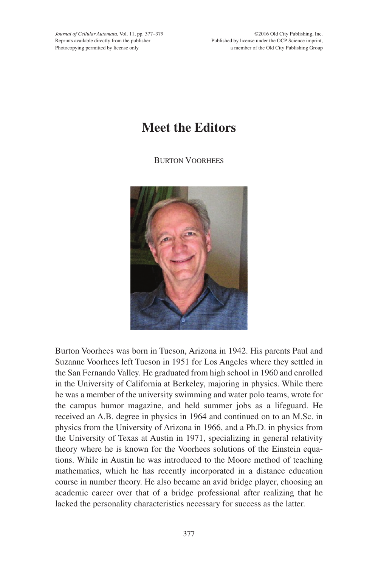*Journal of Cellular Automata*, Vol. 11, pp. 377–379 Reprints available directly from the publisher Photocopying permitted by license only

©2016 Old City Publishing, Inc. Published by license under the OCP Science imprint, a member of the Old City Publishing Group

## **Meet the Editors**

Burton Voorhees



Burton Voorhees was born in Tucson, Arizona in 1942. His parents Paul and Suzanne Voorhees left Tucson in 1951 for Los Angeles where they settled in the San Fernando Valley. He graduated from high school in 1960 and enrolled in the University of California at Berkeley, majoring in physics. While there he was a member of the university swimming and water polo teams, wrote for the campus humor magazine, and held summer jobs as a lifeguard. He received an A.B. degree in physics in 1964 and continued on to an M.Sc. in physics from the University of Arizona in 1966, and a Ph.D. in physics from the University of Texas at Austin in 1971, specializing in general relativity theory where he is known for the Voorhees solutions of the Einstein equations. While in Austin he was introduced to the Moore method of teaching mathematics, which he has recently incorporated in a distance education course in number theory. He also became an avid bridge player, choosing an academic career over that of a bridge professional after realizing that he lacked the personality characteristics necessary for success as the latter.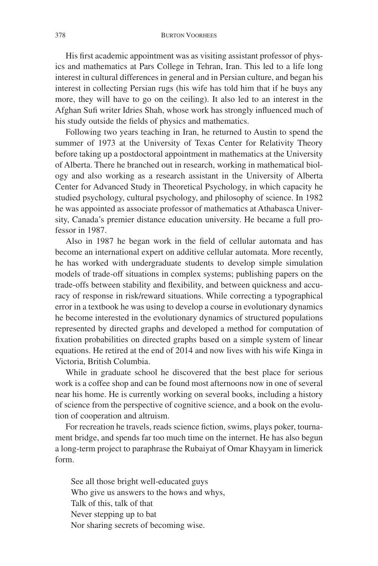His first academic appointment was as visiting assistant professor of physics and mathematics at Pars College in Tehran, Iran. This led to a life long interest in cultural differences in general and in Persian culture, and began his interest in collecting Persian rugs (his wife has told him that if he buys any more, they will have to go on the ceiling). It also led to an interest in the Afghan Sufi writer Idries Shah, whose work has strongly influenced much of his study outside the fields of physics and mathematics.

Following two years teaching in Iran, he returned to Austin to spend the summer of 1973 at the University of Texas Center for Relativity Theory before taking up a postdoctoral appointment in mathematics at the University of Alberta. There he branched out in research, working in mathematical biology and also working as a research assistant in the University of Alberta Center for Advanced Study in Theoretical Psychology, in which capacity he studied psychology, cultural psychology, and philosophy of science. In 1982 he was appointed as associate professor of mathematics at Athabasca University, Canada's premier distance education university. He became a full professor in 1987.

Also in 1987 he began work in the field of cellular automata and has become an international expert on additive cellular automata. More recently, he has worked with undergraduate students to develop simple simulation models of trade-off situations in complex systems; publishing papers on the trade-offs between stability and flexibility, and between quickness and accuracy of response in risk/reward situations. While correcting a typographical error in a textbook he was using to develop a course in evolutionary dynamics he become interested in the evolutionary dynamics of structured populations represented by directed graphs and developed a method for computation of fixation probabilities on directed graphs based on a simple system of linear equations. He retired at the end of 2014 and now lives with his wife Kinga in Victoria, British Columbia.

While in graduate school he discovered that the best place for serious work is a coffee shop and can be found most afternoons now in one of several near his home. He is currently working on several books, including a history of science from the perspective of cognitive science, and a book on the evolution of cooperation and altruism.

For recreation he travels, reads science fiction, swims, plays poker, tournament bridge, and spends far too much time on the internet. He has also begun a long-term project to paraphrase the Rubaiyat of Omar Khayyam in limerick form.

See all those bright well-educated guys Who give us answers to the hows and whys, Talk of this, talk of that Never stepping up to bat Nor sharing secrets of becoming wise.